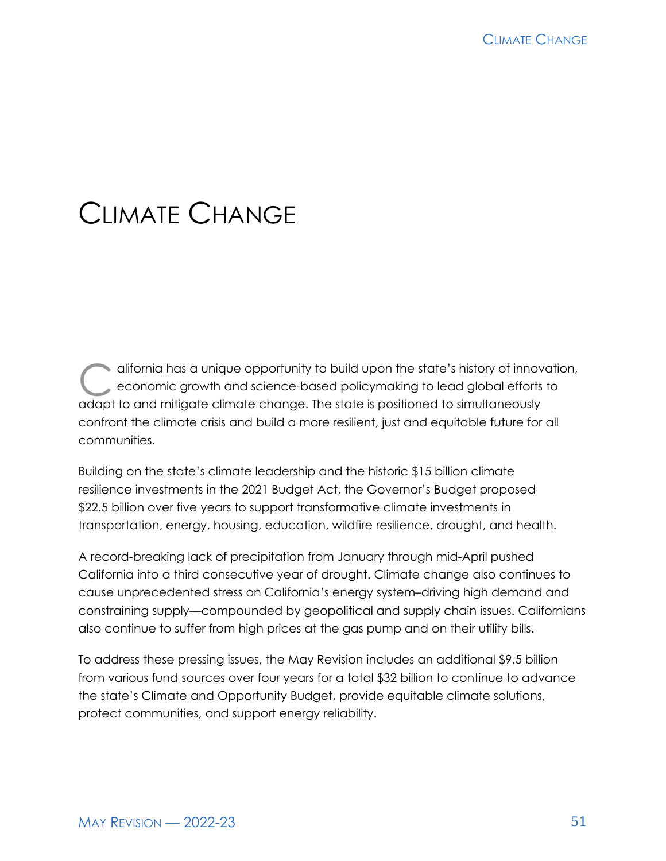# CLIMATE CHANGE

difornia has a unique opportunity to build upon the state's history of innovation,<br>economic growth and science-based policymaking to lead global efforts to economic growth and science-based policymaking to lead global efforts to adapt to and mitigate climate change. The state is positioned to simultaneously confront the climate crisis and build a more resilient, just and equitable future for all communities.

Building on the state's climate leadership and the historic \$15 billion climate resilience investments in the 2021 Budget Act, the Governor's Budget proposed \$22.5 billion over five years to support transformative climate investments in transportation, energy, housing, education, wildfire resilience, drought, and health.

A record-breaking lack of precipitation from January through mid-April pushed California into a third consecutive year of drought. Climate change also continues to cause unprecedented stress on California's energy system–driving high demand and constraining supply—compounded by geopolitical and supply chain issues. Californians also continue to suffer from high prices at the gas pump and on their utility bills.

To address these pressing issues, the May Revision includes an additional \$9.5 billion from various fund sources over four years for a total \$32 billion to continue to advance the state's Climate and Opportunity Budget, provide equitable climate solutions, protect communities, and support energy reliability.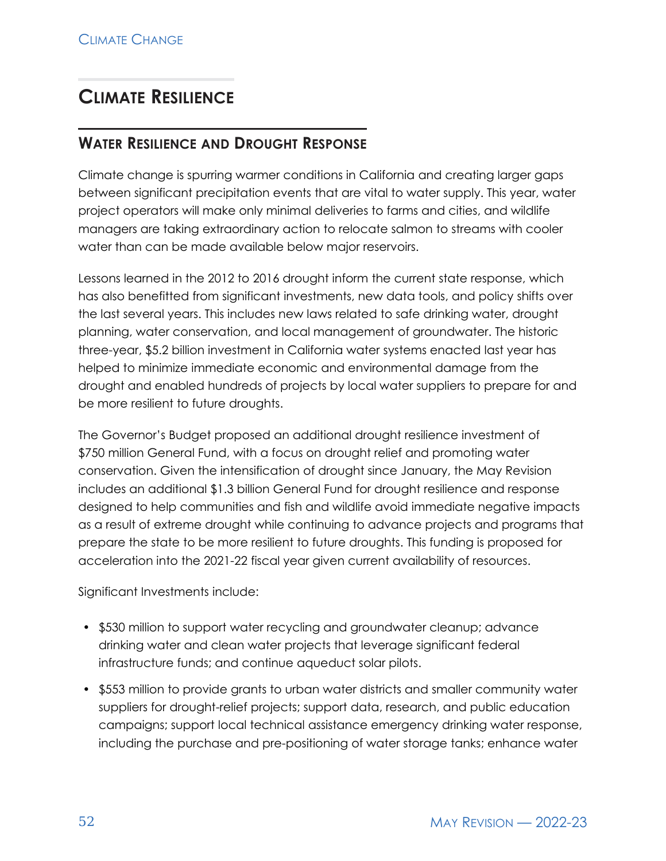# **CLIMATE RESILIENCE**

# **WATER RESILIENCE AND DROUGHT RESPONSE**

Climate change is spurring warmer conditions in California and creating larger gaps between significant precipitation events that are vital to water supply. This year, water project operators will make only minimal deliveries to farms and cities, and wildlife managers are taking extraordinary action to relocate salmon to streams with cooler water than can be made available below major reservoirs.

Lessons learned in the 2012 to 2016 drought inform the current state response, which has also benefitted from significant investments, new data tools, and policy shifts over the last several years. This includes new laws related to safe drinking water, drought planning, water conservation, and local management of groundwater. The historic three-year, \$5.2 billion investment in California water systems enacted last year has helped to minimize immediate economic and environmental damage from the drought and enabled hundreds of projects by local water suppliers to prepare for and be more resilient to future droughts.

The Governor's Budget proposed an additional drought resilience investment of \$750 million General Fund, with a focus on drought relief and promoting water conservation. Given the intensification of drought since January, the May Revision includes an additional \$1.3 billion General Fund for drought resilience and response designed to help communities and fish and wildlife avoid immediate negative impacts as a result of extreme drought while continuing to advance projects and programs that prepare the state to be more resilient to future droughts. This funding is proposed for acceleration into the 2021-22 fiscal year given current availability of resources.

Significant Investments include:

- \$530 million to support water recycling and groundwater cleanup; advance drinking water and clean water projects that leverage significant federal infrastructure funds; and continue aqueduct solar pilots.
- \$553 million to provide grants to urban water districts and smaller community water suppliers for drought-relief projects; support data, research, and public education campaigns; support local technical assistance emergency drinking water response, including the purchase and pre-positioning of water storage tanks; enhance water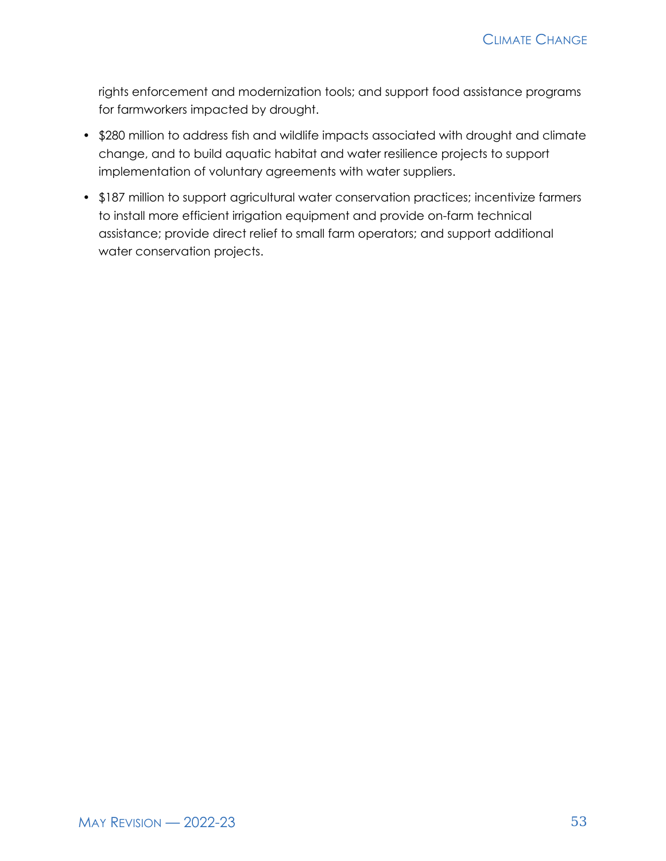rights enforcement and modernization tools; and support food assistance programs for farmworkers impacted by drought.

- \$280 million to address fish and wildlife impacts associated with drought and climate change, and to build aquatic habitat and water resilience projects to support implementation of voluntary agreements with water suppliers.
- \$187 million to support agricultural water conservation practices; incentivize farmers to install more efficient irrigation equipment and provide on-farm technical assistance; provide direct relief to small farm operators; and support additional water conservation projects.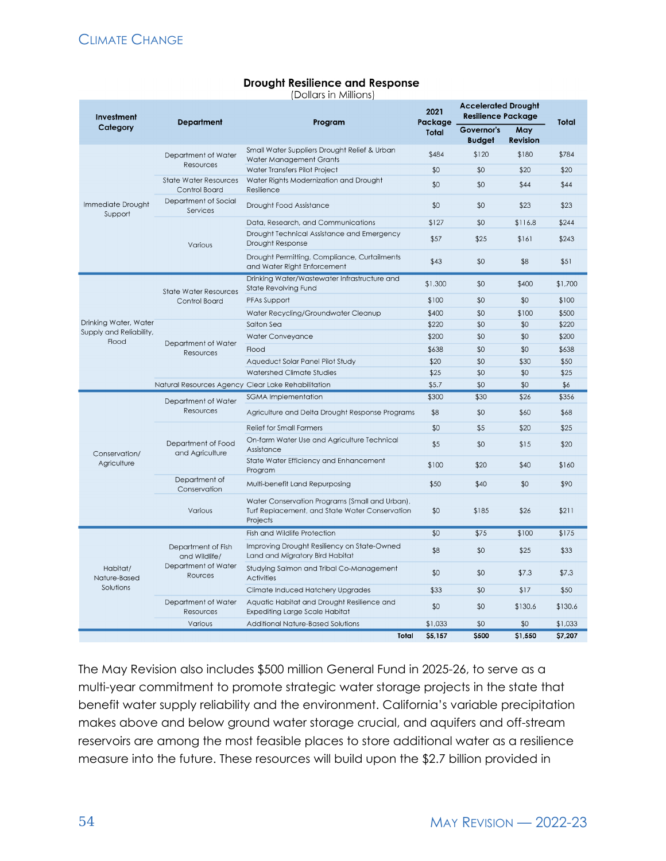#### **Drought Resilience and Response**

(Dollars in Millions)

| Investment                                                                                                                | <b>Department</b>                                                     | Program                                                                                                      | 2021                                                                                                                                                                                                                                                                                                                                                                                                                           | <b>Accelerated Drought</b><br><b>Resilience Package</b>                                                                                         |                        | Total |
|---------------------------------------------------------------------------------------------------------------------------|-----------------------------------------------------------------------|--------------------------------------------------------------------------------------------------------------|--------------------------------------------------------------------------------------------------------------------------------------------------------------------------------------------------------------------------------------------------------------------------------------------------------------------------------------------------------------------------------------------------------------------------------|-------------------------------------------------------------------------------------------------------------------------------------------------|------------------------|-------|
| Category                                                                                                                  | Small Water Suppliers Drought Relief & Urban                          |                                                                                                              | <b>Total</b>                                                                                                                                                                                                                                                                                                                                                                                                                   | Governor's<br><b>Budget</b>                                                                                                                     | May<br><b>Revision</b> |       |
|                                                                                                                           | Department of Water<br>Resources                                      | Water Management Grants                                                                                      | \$484                                                                                                                                                                                                                                                                                                                                                                                                                          | \$120                                                                                                                                           | \$180                  | \$784 |
|                                                                                                                           |                                                                       | Water Transfers Pilot Project                                                                                | \$0                                                                                                                                                                                                                                                                                                                                                                                                                            | \$0                                                                                                                                             | \$20                   | \$20  |
|                                                                                                                           | <b>State Water Resources</b><br>Control Board                         | Water Rights Modernization and Drought<br>Resilience                                                         | \$0                                                                                                                                                                                                                                                                                                                                                                                                                            | \$0                                                                                                                                             | \$44                   | \$44  |
| Immediate Drought<br>Support<br>Drinking Water, Water<br>Supply and Reliability,<br>Flood<br>Conservation/<br>Agriculture | Department of Social<br>Services                                      | Drought Food Assistance                                                                                      | \$0                                                                                                                                                                                                                                                                                                                                                                                                                            | \$0                                                                                                                                             | \$23                   | \$23  |
|                                                                                                                           |                                                                       | Data, Research, and Communications                                                                           | \$127                                                                                                                                                                                                                                                                                                                                                                                                                          | \$0                                                                                                                                             | \$116.8                | \$244 |
|                                                                                                                           | Various                                                               | Drought Technical Assistance and Emergency<br>Drought Response                                               | \$57                                                                                                                                                                                                                                                                                                                                                                                                                           | \$25                                                                                                                                            | \$161                  | \$243 |
|                                                                                                                           |                                                                       | Drought Permitting, Compliance, Curtailments<br>and Water Right Enforcement                                  | \$43                                                                                                                                                                                                                                                                                                                                                                                                                           | \$0                                                                                                                                             | \$8                    | \$51  |
|                                                                                                                           | <b>State Water Resources</b>                                          | Drinking Water/Wastewater Infrastructure and<br>State Revolving Fund                                         | \$1,300                                                                                                                                                                                                                                                                                                                                                                                                                        | \$0<br>\$400<br>\$0<br>\$0<br>\$0<br>\$100<br>\$0<br>\$0<br>\$0<br>\$0<br>\$0<br>\$0<br>\$0<br>\$30<br>\$0<br>\$0<br>\$0<br>\$0<br>\$30<br>\$26 | \$1,700                |       |
|                                                                                                                           | Control Board                                                         | PFAs Support                                                                                                 | \$100                                                                                                                                                                                                                                                                                                                                                                                                                          |                                                                                                                                                 |                        | \$100 |
|                                                                                                                           |                                                                       | Water Recycling/Groundwater Cleanup                                                                          | \$400                                                                                                                                                                                                                                                                                                                                                                                                                          |                                                                                                                                                 |                        | \$500 |
|                                                                                                                           | Department of Water<br>Resources                                      | Salton Sea                                                                                                   | \$220                                                                                                                                                                                                                                                                                                                                                                                                                          |                                                                                                                                                 |                        | \$220 |
|                                                                                                                           |                                                                       | Water Conveyance                                                                                             | \$200                                                                                                                                                                                                                                                                                                                                                                                                                          |                                                                                                                                                 |                        | \$200 |
|                                                                                                                           |                                                                       | Flood                                                                                                        | \$638                                                                                                                                                                                                                                                                                                                                                                                                                          |                                                                                                                                                 |                        | \$638 |
|                                                                                                                           |                                                                       | Aqueduct Solar Panel Pilot Study                                                                             | \$20                                                                                                                                                                                                                                                                                                                                                                                                                           |                                                                                                                                                 |                        | \$50  |
|                                                                                                                           |                                                                       | Watershed Climate Studies                                                                                    | \$25                                                                                                                                                                                                                                                                                                                                                                                                                           |                                                                                                                                                 |                        | \$25  |
|                                                                                                                           |                                                                       | Natural Resources Agency Clear Lake Rehabilitation                                                           | \$5.7                                                                                                                                                                                                                                                                                                                                                                                                                          |                                                                                                                                                 |                        | \$6   |
|                                                                                                                           | Department of Water<br><b>Resources</b>                               | <b>SGMA</b> Implementation                                                                                   | \$300                                                                                                                                                                                                                                                                                                                                                                                                                          |                                                                                                                                                 |                        | \$356 |
|                                                                                                                           |                                                                       | Agriculture and Delta Drought Response Programs                                                              | \$8                                                                                                                                                                                                                                                                                                                                                                                                                            | \$0                                                                                                                                             | \$60                   | \$68  |
|                                                                                                                           |                                                                       | <b>Relief for Small Farmers</b>                                                                              | Package<br>\$5<br>\$0<br>\$20<br>\$25<br>\$5<br>\$0<br>\$20<br>\$15<br>\$100<br>\$20<br>\$40<br>\$160<br>\$50<br>\$90<br>\$40<br>\$0<br>\$185<br>\$211<br>\$0<br>\$26<br>\$0<br>\$75<br>\$100<br>\$175<br>\$8<br>\$0<br>\$25<br>\$33<br>\$0<br>\$0<br>\$7.3<br>\$7.3<br>\$17<br>\$33<br>\$0<br>\$50<br>\$0<br>\$0<br>\$130.6<br>\$130.6<br>\$1,033<br>\$0<br>\$0<br>\$1,033<br>\$500<br>Total<br>\$5.157<br>\$1.550<br>\$7.207 |                                                                                                                                                 |                        |       |
|                                                                                                                           | Department of Food<br>and Agriculture                                 | On-farm Water Use and Agriculture Technical<br>Assistance                                                    |                                                                                                                                                                                                                                                                                                                                                                                                                                |                                                                                                                                                 |                        |       |
|                                                                                                                           |                                                                       | State Water Efficiency and Enhancement<br>Program                                                            |                                                                                                                                                                                                                                                                                                                                                                                                                                |                                                                                                                                                 |                        |       |
|                                                                                                                           | Department of<br>Conservation                                         | Multi-benefit Land Repurposing                                                                               |                                                                                                                                                                                                                                                                                                                                                                                                                                |                                                                                                                                                 |                        |       |
|                                                                                                                           | Various                                                               | Water Conservation Programs (Small and Urban),<br>Turf Replacement, and State Water Conservation<br>Projects |                                                                                                                                                                                                                                                                                                                                                                                                                                |                                                                                                                                                 |                        |       |
|                                                                                                                           | Department of Fish<br>and Wildlife/<br>Department of Water<br>Rources | <b>Fish and Wildlife Protection</b>                                                                          |                                                                                                                                                                                                                                                                                                                                                                                                                                |                                                                                                                                                 |                        |       |
|                                                                                                                           |                                                                       | Improving Drought Resiliency on State-Owned<br>Land and Migratory Bird Habitat                               |                                                                                                                                                                                                                                                                                                                                                                                                                                |                                                                                                                                                 |                        |       |
| Habitat/<br>Nature-Based                                                                                                  |                                                                       | Studying Salmon and Tribal Co-Management<br><b>Activities</b>                                                |                                                                                                                                                                                                                                                                                                                                                                                                                                |                                                                                                                                                 |                        |       |
| Solutions                                                                                                                 |                                                                       | Climate Induced Hatchery Upgrades                                                                            |                                                                                                                                                                                                                                                                                                                                                                                                                                |                                                                                                                                                 |                        |       |
|                                                                                                                           | Department of Water<br>Resources                                      | Aquatic Habitat and Drought Resilience and<br><b>Expediting Large Scale Habitat</b>                          |                                                                                                                                                                                                                                                                                                                                                                                                                                |                                                                                                                                                 |                        |       |
|                                                                                                                           | Various                                                               | <b>Additional Nature-Based Solutions</b>                                                                     |                                                                                                                                                                                                                                                                                                                                                                                                                                |                                                                                                                                                 |                        |       |
|                                                                                                                           |                                                                       |                                                                                                              |                                                                                                                                                                                                                                                                                                                                                                                                                                |                                                                                                                                                 |                        |       |

The May Revision also includes \$500 million General Fund in 2025-26, to serve as a multi-year commitment to promote strategic water storage projects in the state that benefit water supply reliability and the environment. California's variable precipitation makes above and below ground water storage crucial, and aquifers and off-stream reservoirs are among the most feasible places to store additional water as a resilience measure into the future. These resources will build upon the \$2.7 billion provided in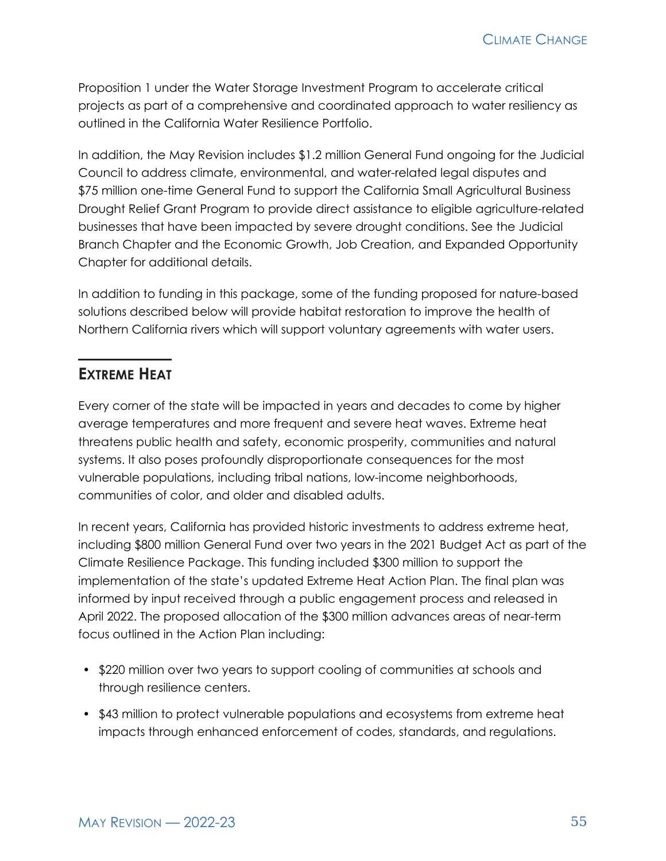Proposition 1 under the Water Storage Investment Program to accelerate critical projects as part of a comprehensive and coordinated approach to water resiliency as outlined in the California Water Resilience Portfolio.

In addition, the May Revision includes \$1.2 million General Fund ongoing for the Judicial Council to address climate, environmental, and water-related legal disputes and \$75 million one-time General Fund to support the California Small Agricultural Business Drought Relief Grant Program to provide direct assistance to eligible agriculture-related businesses that have been impacted by severe drought conditions. See the Judicial Branch Chapter and the Economic Growth, Job Creation, and Expanded Opportunity Chapter for additional details.

In addition to funding in this package, some of the funding proposed for nature-based solutions described below will provide habitat restoration to improve the health of Northern California rivers which will support voluntary agreements with water users.

# **EXTREME HEAT**

Every corner of the state will be impacted in years and decades to come by higher average temperatures and more frequent and severe heat waves. Extreme heat threatens public health and safety, economic prosperity, communities and natural systems. It also poses profoundly disproportionate consequences for the most vulnerable populations, including tribal nations, low-income neighborhoods, communities of color, and older and disabled adults.

In recent years, California has provided historic investments to address extreme heat, including \$800 million General Fund over two years in the 2021 Budget Act as part of the Climate Resilience Package. This funding included \$300 million to support the implementation of the state's updated Extreme Heat Action Plan. The final plan was informed by input received through a public engagement process and released in April 2022. The proposed allocation of the \$300 million advances areas of near-term focus outlined in the Action Plan including:

- \$220 million over two years to support cooling of communities at schools and through resilience centers.
- \$43 million to protect vulnerable populations and ecosystems from extreme heat impacts through enhanced enforcement of codes, standards, and regulations.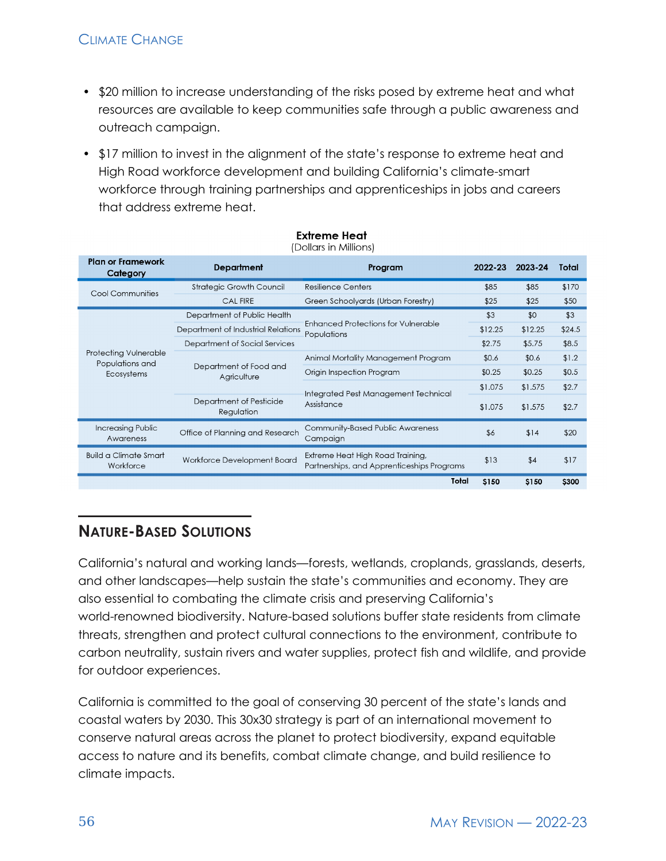# CLIMATE CHANGE

- \$20 million to increase understanding of the risks posed by extreme heat and what resources are available to keep communities safe through a public awareness and outreach campaign.
- \$17 million to invest in the alignment of the state's response to extreme heat and High Road workforce development and building California's climate-smart workforce through training partnerships and apprenticeships in jobs and careers that address extreme heat.

| <b>Plan or Framework</b><br>Category      | <b>Department</b>                     | Program                                                                        | 2022-23                                                                                  | 2023-24 | Total  |
|-------------------------------------------|---------------------------------------|--------------------------------------------------------------------------------|------------------------------------------------------------------------------------------|---------|--------|
| Cool Communities                          | <b>Strategic Growth Council</b>       | <b>Resilience Centers</b>                                                      | \$85                                                                                     | \$85    | \$170  |
|                                           | <b>CAL FIRE</b>                       | Green Schoolyards (Urban Forestry)                                             | \$25<br>\$3<br>\$12.25<br>\$2.75<br>\$0.6<br>\$0.25<br>\$1.075<br>\$1.075<br>\$6<br>\$13 | \$25    | \$50   |
|                                           | Department of Public Health           |                                                                                |                                                                                          | \$0     | \$3    |
|                                           | Department of Industrial Relations    | <b>Enhanced Protections for Vulnerable</b><br>Populations                      |                                                                                          | \$12.25 | \$24.5 |
|                                           | Department of Social Services         |                                                                                |                                                                                          | \$5.75  | \$8.5  |
| Protecting Vulnerable<br>Populations and  |                                       | Animal Mortality Management Program                                            |                                                                                          | \$0.6   | \$1.2  |
| Ecosystems                                | Department of Food and<br>Agriculture | Origin Inspection Program                                                      |                                                                                          | \$0.25  | \$0.5  |
|                                           |                                       |                                                                                |                                                                                          | \$1.575 | \$2.7  |
|                                           | Department of Pesticide<br>Regulation | Integrated Pest Management Technical<br>Assistance                             |                                                                                          | \$1.575 | \$2.7  |
| <b>Increasing Public</b><br>Awareness     | Office of Planning and Research       | <b>Community-Based Public Awareness</b><br>Campaign                            |                                                                                          | \$14    | \$20   |
| <b>Build a Climate Smart</b><br>Workforce | Workforce Development Board           | Extreme Heat High Road Training,<br>Partnerships, and Apprenticeships Programs |                                                                                          | \$4     | \$17   |
|                                           |                                       | Total                                                                          | \$150                                                                                    | \$150   | \$300  |

#### **Extreme Heat** (Dollars in Millions)

# **NATURE-BASED SOLUTIONS**

California's natural and working lands—forests, wetlands, croplands, grasslands, deserts, and other landscapes—help sustain the state's communities and economy. They are also essential to combating the climate crisis and preserving California's world-renowned biodiversity. Nature-based solutions buffer state residents from climate threats, strengthen and protect cultural connections to the environment, contribute to carbon neutrality, sustain rivers and water supplies, protect fish and wildlife, and provide for outdoor experiences.

California is committed to the goal of conserving 30 percent of the state's lands and coastal waters by 2030. This 30x30 strategy is part of an international movement to conserve natural areas across the planet to protect biodiversity, expand equitable access to nature and its benefits, combat climate change, and build resilience to climate impacts.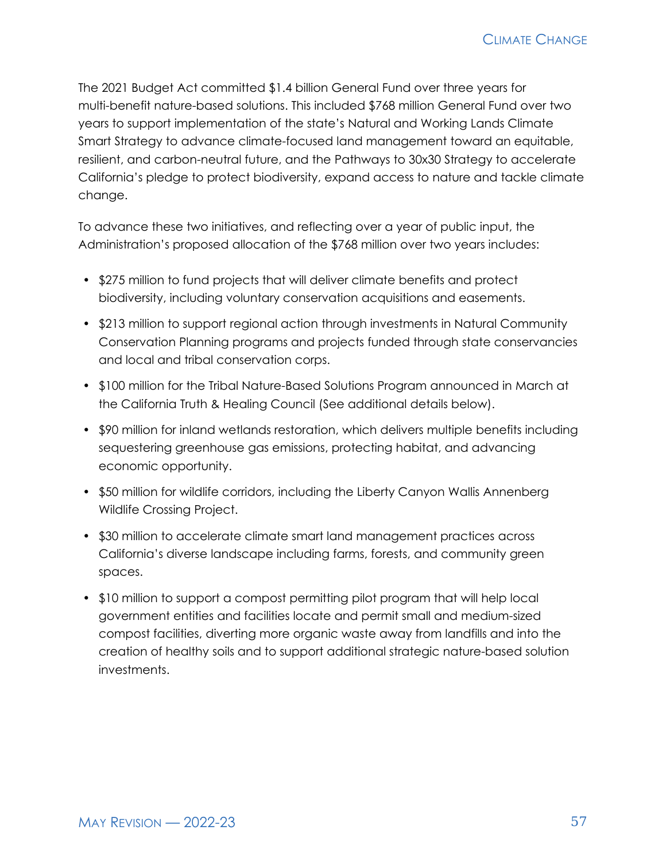The 2021 Budget Act committed \$1.4 billion General Fund over three years for multi-benefit nature-based solutions. This included \$768 million General Fund over two years to support implementation of the state's Natural and Working Lands Climate Smart Strategy to advance climate-focused land management toward an equitable, resilient, and carbon-neutral future, and the Pathways to 30x30 Strategy to accelerate California's pledge to protect biodiversity, expand access to nature and tackle climate change.

To advance these two initiatives, and reflecting over a year of public input, the Administration's proposed allocation of the \$768 million over two years includes:

- \$275 million to fund projects that will deliver climate benefits and protect biodiversity, including voluntary conservation acquisitions and easements.
- \$213 million to support regional action through investments in Natural Community Conservation Planning programs and projects funded through state conservancies and local and tribal conservation corps.
- \$100 million for the Tribal Nature-Based Solutions Program announced in March at the California Truth & Healing Council (See additional details below).
- \$90 million for inland wetlands restoration, which delivers multiple benefits including sequestering greenhouse gas emissions, protecting habitat, and advancing economic opportunity.
- \$50 million for wildlife corridors, including the Liberty Canyon Wallis Annenberg Wildlife Crossing Project.
- \$30 million to accelerate climate smart land management practices across California's diverse landscape including farms, forests, and community green spaces.
- \$10 million to support a compost permitting pilot program that will help local government entities and facilities locate and permit small and medium-sized compost facilities, diverting more organic waste away from landfills and into the creation of healthy soils and to support additional strategic nature-based solution investments.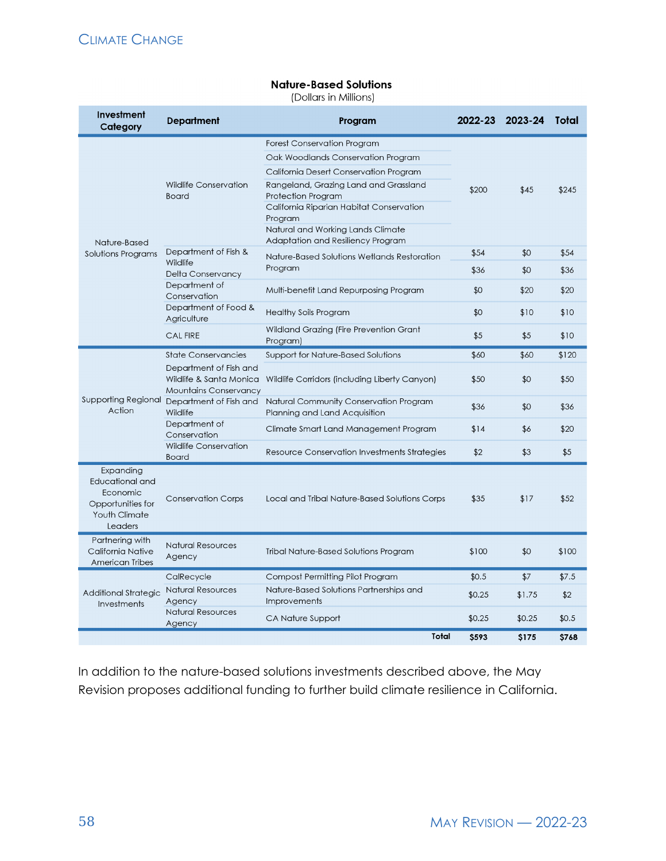#### **Nature-Based Solutions**

(Dollars in Millions)

| <b>Investment</b><br>Category                                                                                                                                      | <b>Department</b>                                                                                                      | Program                                                                  | 2022-23     | 2023-24 | Total |
|--------------------------------------------------------------------------------------------------------------------------------------------------------------------|------------------------------------------------------------------------------------------------------------------------|--------------------------------------------------------------------------|-------------|---------|-------|
|                                                                                                                                                                    | <b>Wildlife Conservation</b><br><b>Board</b>                                                                           | <b>Forest Conservation Program</b><br>Oak Woodlands Conservation Program |             |         | \$245 |
|                                                                                                                                                                    |                                                                                                                        | California Desert Conservation Program                                   |             |         |       |
|                                                                                                                                                                    |                                                                                                                        | Rangeland, Grazing Land and Grassland<br>Protection Program              | \$200       | \$45    |       |
|                                                                                                                                                                    |                                                                                                                        | California Riparian Habitat Conservation<br>Program                      |             |         |       |
| Nature-Based                                                                                                                                                       |                                                                                                                        | Natural and Working Lands Climate<br>Adaptation and Resiliency Program   |             |         |       |
| Solutions Programs                                                                                                                                                 | Department of Fish &<br>Nature-Based Solutions Wetlands Restoration<br>Wildlife<br>Program<br><b>Delta Conservancy</b> |                                                                          | \$54        | \$0     | \$54  |
|                                                                                                                                                                    |                                                                                                                        |                                                                          | \$36        | \$0     | \$36  |
|                                                                                                                                                                    | Department of<br>Conservation                                                                                          | Multi-benefit Land Repurposing Program                                   | \$0         | \$20    | \$20  |
|                                                                                                                                                                    | Department of Food &<br>Agriculture                                                                                    | Healthy Soils Program                                                    | \$0         | \$10    | \$10  |
|                                                                                                                                                                    | <b>CAL FIRE</b>                                                                                                        | Wildland Grazing (Fire Prevention Grant<br>Program)                      | \$5         | \$5     | \$10  |
|                                                                                                                                                                    | <b>State Conservancies</b>                                                                                             | Support for Nature-Based Solutions                                       | \$60        | \$60    | \$120 |
|                                                                                                                                                                    | Department of Fish and<br>Wildlife & Santa Monica<br><b>Mountains Conservancy</b>                                      | Wildlife Corridors (including Liberty Canyon)                            | \$50        | \$0     | \$50  |
| Supporting Regional<br>Action<br>Expanding<br>Educational and<br>Economic<br>Opportunities for<br>Youth Climate<br>Leaders<br>Partnering with<br>California Native | Department of Fish and<br>Wildlife                                                                                     | Natural Community Conservation Program<br>Planning and Land Acquisition  | \$36        | \$0     | \$36  |
|                                                                                                                                                                    | Department of<br>Conservation                                                                                          | Climate Smart Land Management Program                                    | \$14        | \$6     | \$20  |
|                                                                                                                                                                    | Wildlife Conservation<br><b>Board</b>                                                                                  | Resource Conservation Investments Strategies                             | \$2         | \$3     | \$5   |
|                                                                                                                                                                    | <b>Conservation Corps</b>                                                                                              | Local and Tribal Nature-Based Solutions Corps                            | \$35        | \$17    | \$52  |
| American Tribes                                                                                                                                                    | <b>Natural Resources</b><br>Agency                                                                                     | <b>Tribal Nature-Based Solutions Program</b>                             | \$100       | \$0     | \$100 |
|                                                                                                                                                                    | CalRecycle                                                                                                             | Compost Permitting Pilot Program                                         | \$0.5       | \$7     | \$7.5 |
| Additional Strategic<br>Investments                                                                                                                                | <b>Natural Resources</b><br>Agency                                                                                     | Nature-Based Solutions Partnerships and<br>Improvements                  | \$0.25      | \$1.75  | \$2   |
|                                                                                                                                                                    | <b>Natural Resources</b><br>Agency                                                                                     | CA Nature Support                                                        | \$0.25      | \$0.25  | \$0.5 |
|                                                                                                                                                                    |                                                                                                                        | Total                                                                    | <b>S593</b> | \$175   | \$768 |

In addition to the nature-based solutions investments described above, the May Revision proposes additional funding to further build climate resilience in California.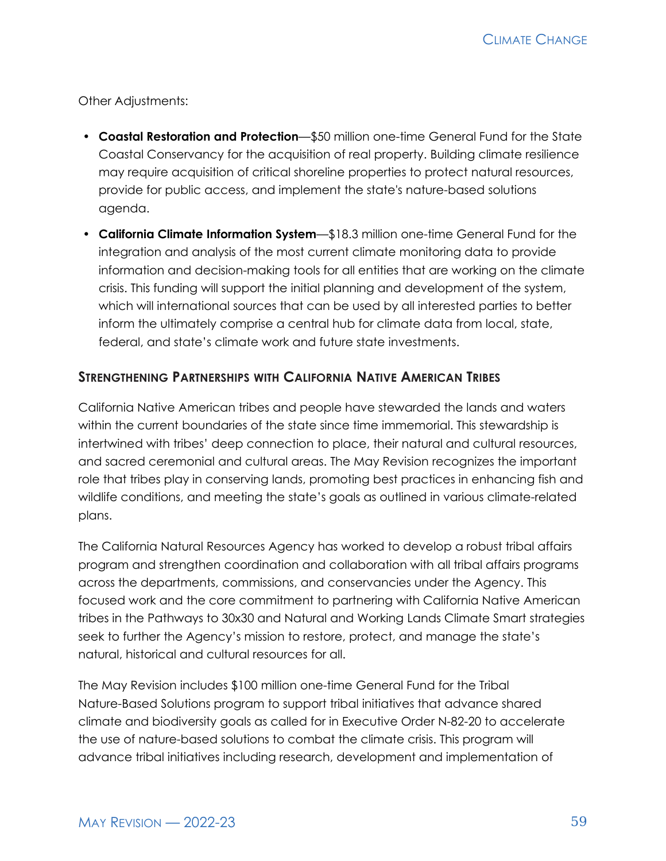Other Adjustments:

- **Coastal Restoration and Protection**—\$50 million one-time General Fund for the State Coastal Conservancy for the acquisition of real property. Building climate resilience may require acquisition of critical shoreline properties to protect natural resources, provide for public access, and implement the state's nature-based solutions agenda.
- **California Climate Information System**—\$18.3 million one-time General Fund for the integration and analysis of the most current climate monitoring data to provide information and decision-making tools for all entities that are working on the climate crisis. This funding will support the initial planning and development of the system, which will international sources that can be used by all interested parties to better inform the ultimately comprise a central hub for climate data from local, state, federal, and state's climate work and future state investments.

#### **STRENGTHENING PARTNERSHIPS WITH CALIFORNIA NATIVE AMERICAN TRIBES**

California Native American tribes and people have stewarded the lands and waters within the current boundaries of the state since time immemorial. This stewardship is intertwined with tribes' deep connection to place, their natural and cultural resources, and sacred ceremonial and cultural areas. The May Revision recognizes the important role that tribes play in conserving lands, promoting best practices in enhancing fish and wildlife conditions, and meeting the state's goals as outlined in various climate-related plans.

The California Natural Resources Agency has worked to develop a robust tribal affairs program and strengthen coordination and collaboration with all tribal affairs programs across the departments, commissions, and conservancies under the Agency. This focused work and the core commitment to partnering with California Native American tribes in the Pathways to 30x30 and Natural and Working Lands Climate Smart strategies seek to further the Agency's mission to restore, protect, and manage the state's natural, historical and cultural resources for all.

The May Revision includes \$100 million one-time General Fund for the Tribal Nature-Based Solutions program to support tribal initiatives that advance shared climate and biodiversity goals as called for in Executive Order N-82-20 to accelerate the use of nature-based solutions to combat the climate crisis. This program will advance tribal initiatives including research, development and implementation of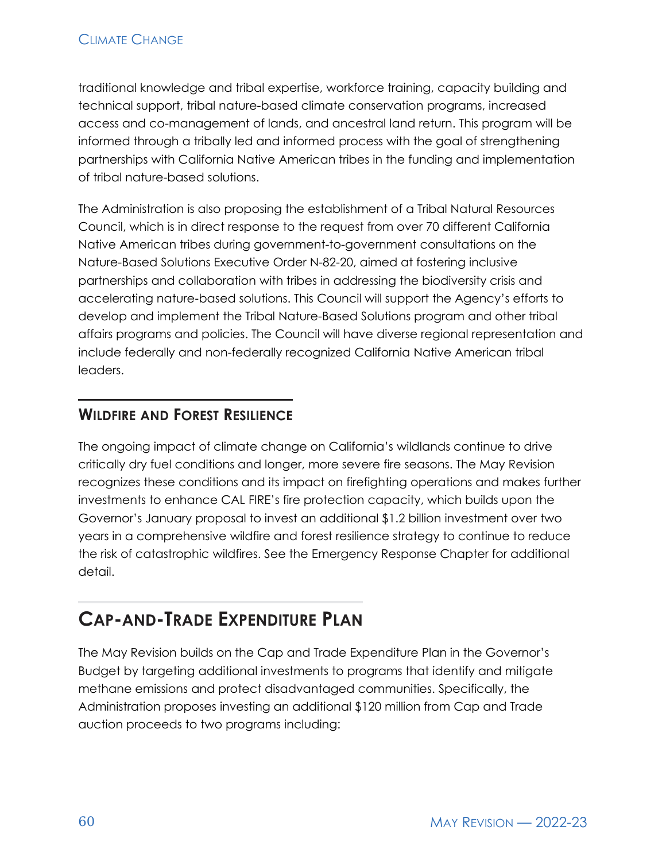traditional knowledge and tribal expertise, workforce training, capacity building and technical support, tribal nature-based climate conservation programs, increased access and co-management of lands, and ancestral land return. This program will be informed through a tribally led and informed process with the goal of strengthening partnerships with California Native American tribes in the funding and implementation of tribal nature-based solutions.

The Administration is also proposing the establishment of a Tribal Natural Resources Council, which is in direct response to the request from over 70 different California Native American tribes during government-to-government consultations on the Nature-Based Solutions Executive Order N-82-20, aimed at fostering inclusive partnerships and collaboration with tribes in addressing the biodiversity crisis and accelerating nature‑based solutions. This Council will support the Agency's efforts to develop and implement the Tribal Nature-Based Solutions program and other tribal affairs programs and policies. The Council will have diverse regional representation and include federally and non-federally recognized California Native American tribal leaders.

# **WILDFIRE AND FOREST RESILIENCE**

The ongoing impact of climate change on California's wildlands continue to drive critically dry fuel conditions and longer, more severe fire seasons. The May Revision recognizes these conditions and its impact on firefighting operations and makes further investments to enhance CAL FIRE's fire protection capacity, which builds upon the Governor's January proposal to invest an additional \$1.2 billion investment over two years in a comprehensive wildfire and forest resilience strategy to continue to reduce the risk of catastrophic wildfires. See the Emergency Response Chapter for additional detail.

# **CAP-AND-TRADE EXPENDITURE PLAN**

The May Revision builds on the Cap and Trade Expenditure Plan in the Governor's Budget by targeting additional investments to programs that identify and mitigate methane emissions and protect disadvantaged communities. Specifically, the Administration proposes investing an additional \$120 million from Cap and Trade auction proceeds to two programs including: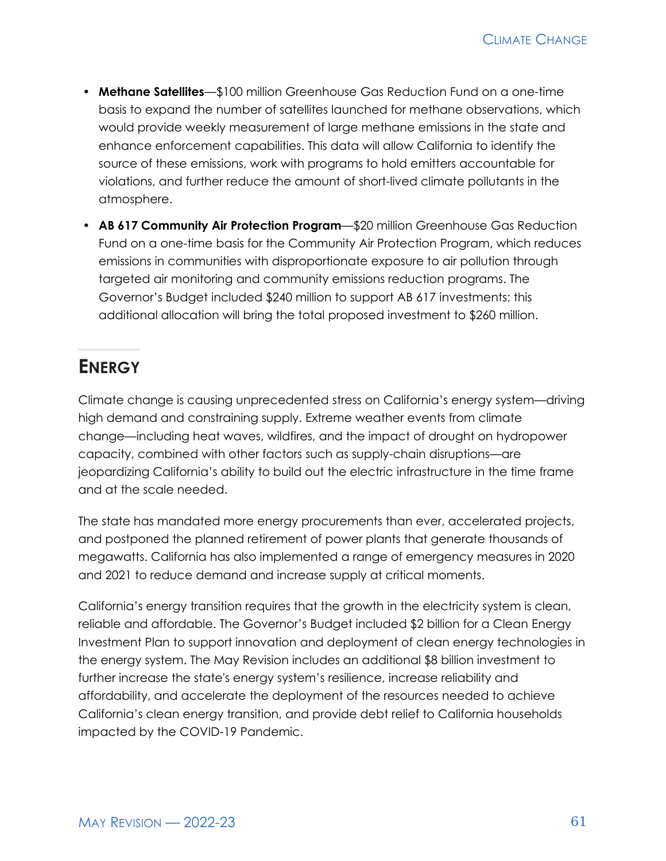- **Methane Satellites**—\$100 million Greenhouse Gas Reduction Fund on a one-time basis to expand the number of satellites launched for methane observations, which would provide weekly measurement of large methane emissions in the state and enhance enforcement capabilities. This data will allow California to identify the source of these emissions, work with programs to hold emitters accountable for violations, and further reduce the amount of short-lived climate pollutants in the atmosphere.
- **AB 617 Community Air Protection Program**—\$20 million Greenhouse Gas Reduction Fund on a one-time basis for the Community Air Protection Program, which reduces emissions in communities with disproportionate exposure to air pollution through targeted air monitoring and community emissions reduction programs. The Governor's Budget included \$240 million to support AB 617 investments; this additional allocation will bring the total proposed investment to \$260 million.

# **ENERGY**

Climate change is causing unprecedented stress on California's energy system—driving high demand and constraining supply. Extreme weather events from climate change—including heat waves, wildfires, and the impact of drought on hydropower capacity, combined with other factors such as supply-chain disruptions—are jeopardizing California's ability to build out the electric infrastructure in the time frame and at the scale needed.

The state has mandated more energy procurements than ever, accelerated projects, and postponed the planned retirement of power plants that generate thousands of megawatts. California has also implemented a range of emergency measures in 2020 and 2021 to reduce demand and increase supply at critical moments.

California's energy transition requires that the growth in the electricity system is clean, reliable and affordable. The Governor's Budget included \$2 billion for a Clean Energy Investment Plan to support innovation and deployment of clean energy technologies in the energy system. The May Revision includes an additional \$8 billion investment to further increase the state's energy system's resilience, increase reliability and affordability, and accelerate the deployment of the resources needed to achieve California's clean energy transition, and provide debt relief to California households impacted by the COVID-19 Pandemic.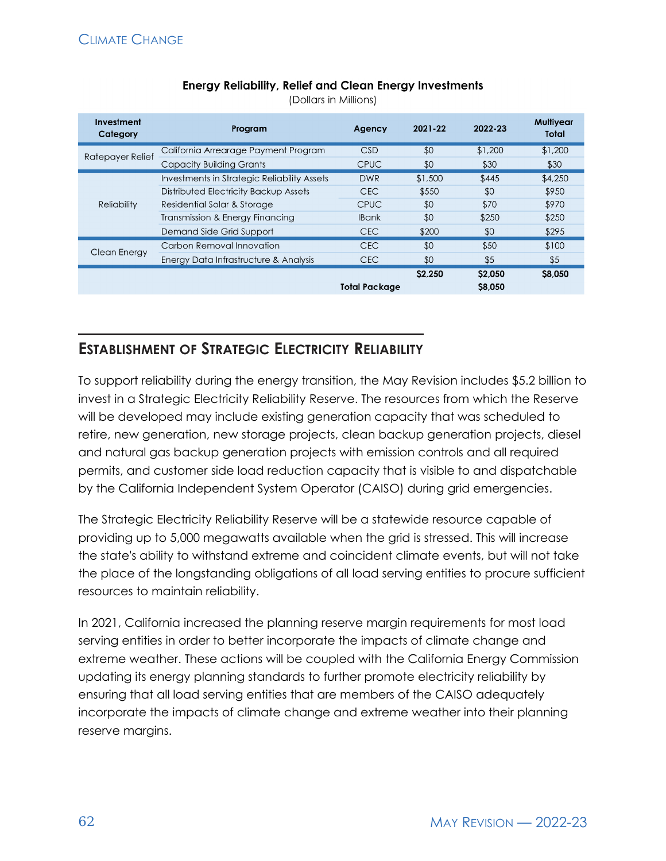| <b>Energy Reliability, Relief and Clean Energy Investments</b> |  |  |  |
|----------------------------------------------------------------|--|--|--|
|----------------------------------------------------------------|--|--|--|

(Dollars in Millions)

| Investment<br>Category | Program                                     | Agency        | 2021-22 | 2022-23            | Multiyear<br>Total |
|------------------------|---------------------------------------------|---------------|---------|--------------------|--------------------|
| Ratepayer Relief       | California Arrearage Payment Program        | <b>CSD</b>    | \$0     | \$1,200            | \$1,200            |
|                        | <b>Capacity Building Grants</b>             | <b>CPUC</b>   | \$0     | \$30               | \$30               |
| Reliability            | Investments in Strategic Reliability Assets | <b>DWR</b>    | \$1,500 | \$445              | \$4,250            |
|                        | Distributed Electricity Backup Assets       | <b>CEC</b>    | \$550   | \$0                | \$950              |
|                        | Residential Solar & Storage                 | <b>CPUC</b>   | \$0     | \$70               | \$970              |
|                        | Transmission & Energy Financing             | <b>IBank</b>  | \$0     | \$250              | \$250              |
|                        | Demand Side Grid Support                    | <b>CEC</b>    | \$200   | \$0                | \$295              |
| Clean Energy           | Carbon Removal Innovation                   | <b>CEC</b>    | \$0     | \$50               | \$100              |
|                        | Energy Data Infrastructure & Analysis       | <b>CEC</b>    | \$0     | \$5                | \$5                |
|                        |                                             | Total Package | \$2.250 | \$2,050<br>\$8,050 | \$8,050            |

# **ESTABLISHMENT OF STRATEGIC ELECTRICITY RELIABILITY**

To support reliability during the energy transition, the May Revision includes \$5.2 billion to invest in a Strategic Electricity Reliability Reserve. The resources from which the Reserve will be developed may include existing generation capacity that was scheduled to retire, new generation, new storage projects, clean backup generation projects, diesel and natural gas backup generation projects with emission controls and all required permits, and customer side load reduction capacity that is visible to and dispatchable by the California Independent System Operator (CAISO) during grid emergencies.

The Strategic Electricity Reliability Reserve will be a statewide resource capable of providing up to 5,000 megawatts available when the grid is stressed. This will increase the state's ability to withstand extreme and coincident climate events, but will not take the place of the longstanding obligations of all load serving entities to procure sufficient resources to maintain reliability.

In 2021, California increased the planning reserve margin requirements for most load serving entities in order to better incorporate the impacts of climate change and extreme weather. These actions will be coupled with the California Energy Commission updating its energy planning standards to further promote electricity reliability by ensuring that all load serving entities that are members of the CAISO adequately incorporate the impacts of climate change and extreme weather into their planning reserve margins.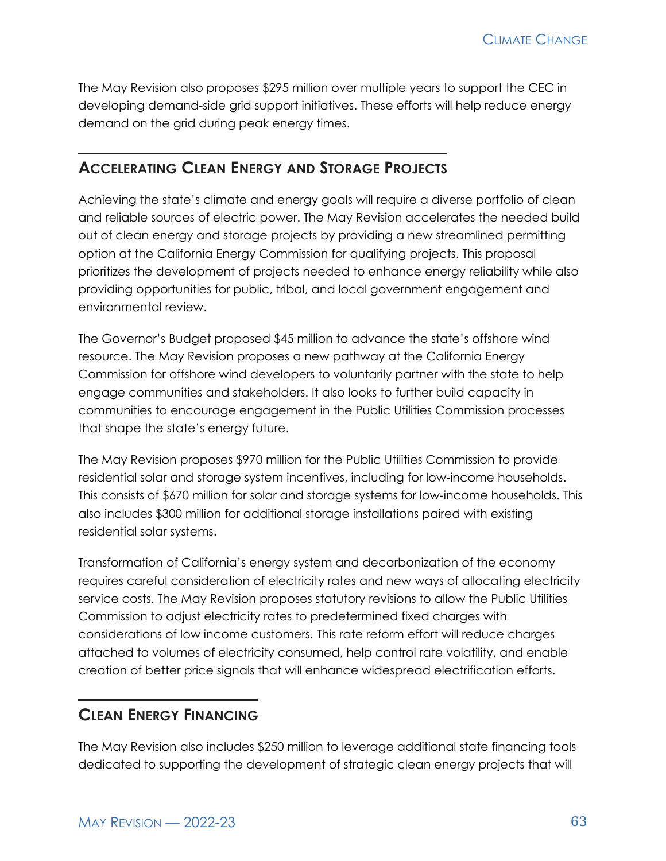The May Revision also proposes \$295 million over multiple years to support the CEC in developing demand-side grid support initiatives. These efforts will help reduce energy demand on the grid during peak energy times.

### **ACCELERATING CLEAN ENERGY AND STORAGE PROJECTS**

Achieving the state's climate and energy goals will require a diverse portfolio of clean and reliable sources of electric power. The May Revision accelerates the needed build out of clean energy and storage projects by providing a new streamlined permitting option at the California Energy Commission for qualifying projects. This proposal prioritizes the development of projects needed to enhance energy reliability while also providing opportunities for public, tribal, and local government engagement and environmental review.

The Governor's Budget proposed \$45 million to advance the state's offshore wind resource. The May Revision proposes a new pathway at the California Energy Commission for offshore wind developers to voluntarily partner with the state to help engage communities and stakeholders. It also looks to further build capacity in communities to encourage engagement in the Public Utilities Commission processes that shape the state's energy future.

The May Revision proposes \$970 million for the Public Utilities Commission to provide residential solar and storage system incentives, including for low-income households. This consists of \$670 million for solar and storage systems for low-income households. This also includes \$300 million for additional storage installations paired with existing residential solar systems.

Transformation of California's energy system and decarbonization of the economy requires careful consideration of electricity rates and new ways of allocating electricity service costs. The May Revision proposes statutory revisions to allow the Public Utilities Commission to adjust electricity rates to predetermined fixed charges with considerations of low income customers. This rate reform effort will reduce charges attached to volumes of electricity consumed, help control rate volatility, and enable creation of better price signals that will enhance widespread electrification efforts.

### **CLEAN ENERGY FINANCING**

The May Revision also includes \$250 million to leverage additional state financing tools dedicated to supporting the development of strategic clean energy projects that will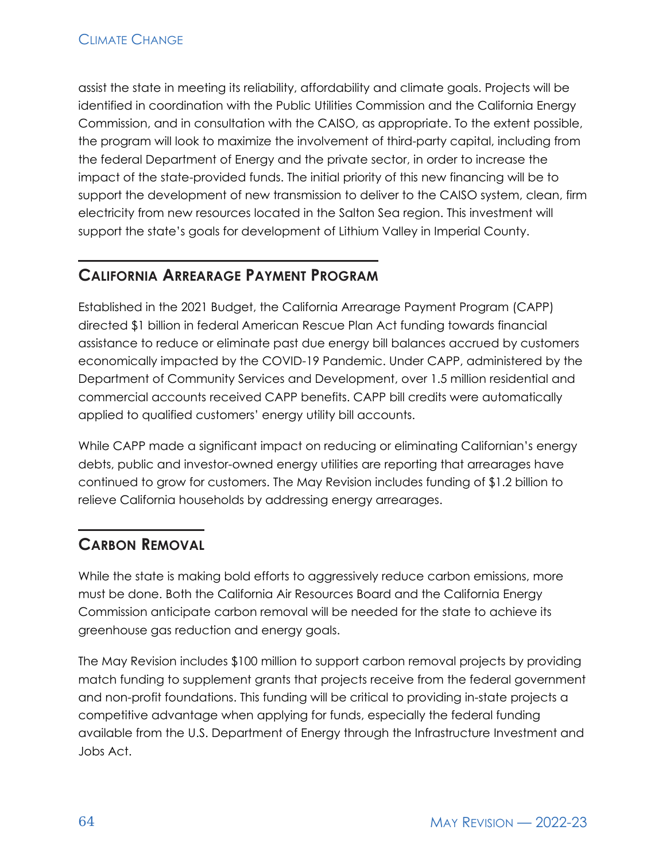assist the state in meeting its reliability, affordability and climate goals. Projects will be identified in coordination with the Public Utilities Commission and the California Energy Commission, and in consultation with the CAISO, as appropriate. To the extent possible, the program will look to maximize the involvement of third-party capital, including from the federal Department of Energy and the private sector, in order to increase the impact of the state-provided funds. The initial priority of this new financing will be to support the development of new transmission to deliver to the CAISO system, clean, firm electricity from new resources located in the Salton Sea region. This investment will support the state's goals for development of Lithium Valley in Imperial County.

# **CALIFORNIA ARREARAGE PAYMENT PROGRAM**

Established in the 2021 Budget, the California Arrearage Payment Program (CAPP) directed \$1 billion in federal American Rescue Plan Act funding towards financial assistance to reduce or eliminate past due energy bill balances accrued by customers economically impacted by the COVID-19 Pandemic. Under CAPP, administered by the Department of Community Services and Development, over 1.5 million residential and commercial accounts received CAPP benefits. CAPP bill credits were automatically applied to qualified customers' energy utility bill accounts.

While CAPP made a significant impact on reducing or eliminating Californian's energy debts, public and investor-owned energy utilities are reporting that arrearages have continued to grow for customers. The May Revision includes funding of \$1.2 billion to relieve California households by addressing energy arrearages.

# **CARBON REMOVAL**

While the state is making bold efforts to aggressively reduce carbon emissions, more must be done. Both the California Air Resources Board and the California Energy Commission anticipate carbon removal will be needed for the state to achieve its greenhouse gas reduction and energy goals.

The May Revision includes \$100 million to support carbon removal projects by providing match funding to supplement grants that projects receive from the federal government and non-profit foundations. This funding will be critical to providing in-state projects a competitive advantage when applying for funds, especially the federal funding available from the U.S. Department of Energy through the Infrastructure Investment and Jobs Act.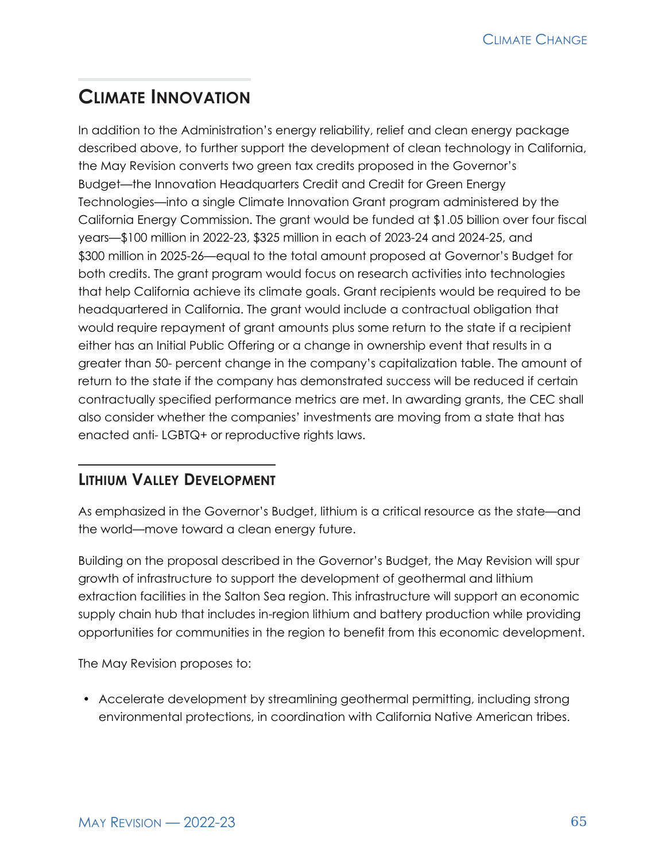# **CLIMATE INNOVATION**

In addition to the Administration's energy reliability, relief and clean energy package described above, to further support the development of clean technology in California, the May Revision converts two green tax credits proposed in the Governor's Budget—the Innovation Headquarters Credit and Credit for Green Energy Technologies—into a single Climate Innovation Grant program administered by the California Energy Commission. The grant would be funded at \$1.05 billion over four fiscal years—\$100 million in 2022-23, \$325 million in each of 2023-24 and 2024-25, and \$300 million in 2025-26—equal to the total amount proposed at Governor's Budget for both credits. The grant program would focus on research activities into technologies that help California achieve its climate goals. Grant recipients would be required to be headquartered in California. The grant would include a contractual obligation that would require repayment of grant amounts plus some return to the state if a recipient either has an Initial Public Offering or a change in ownership event that results in a greater than 50- percent change in the company's capitalization table. The amount of return to the state if the company has demonstrated success will be reduced if certain contractually specified performance metrics are met. In awarding grants, the CEC shall also consider whether the companies' investments are moving from a state that has enacted anti- LGBTQ+ or reproductive rights laws.

# **LITHIUM VALLEY DEVELOPMENT**

As emphasized in the Governor's Budget, lithium is a critical resource as the state—and the world—move toward a clean energy future.

Building on the proposal described in the Governor's Budget, the May Revision will spur growth of infrastructure to support the development of geothermal and lithium extraction facilities in the Salton Sea region. This infrastructure will support an economic supply chain hub that includes in-region lithium and battery production while providing opportunities for communities in the region to benefit from this economic development.

The May Revision proposes to:

• Accelerate development by streamlining geothermal permitting, including strong environmental protections, in coordination with California Native American tribes.